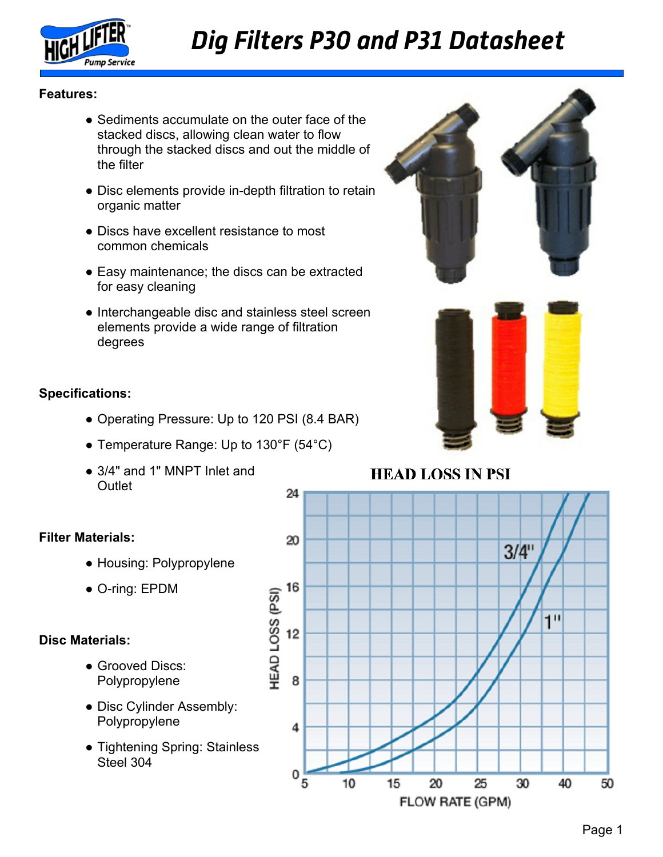

## *Dig Filters P30 and P31 Datasheet*

### **Features:**

- Sediments accumulate on the outer face of the stacked discs, allowing clean water to flow through the stacked discs and out the middle of the filter
- Disc elements provide in-depth filtration to retain organic matter
- Discs have excellent resistance to most common chemicals
- Easy maintenance; the discs can be extracted for easy cleaning
- Interchangeable disc and stainless steel screen elements provide a wide range of filtration degrees

#### **Specifications:**

- Operating Pressure: Up to 120 PSI (8.4 BAR)
- Temperature Range: Up to 130°F (54°C)
- 3/4" and 1" MNPT Inlet and **Outlet**

### **Filter Materials:**

- Housing: Polypropylene
- O-ring: EPDM

### **Disc Materials:**

- Grooved Discs: Polypropylene
- Disc Cylinder Assembly: Polypropylene
- Tightening Spring: Stainless Steel 304





### **HEAD LOSS IN PSI**